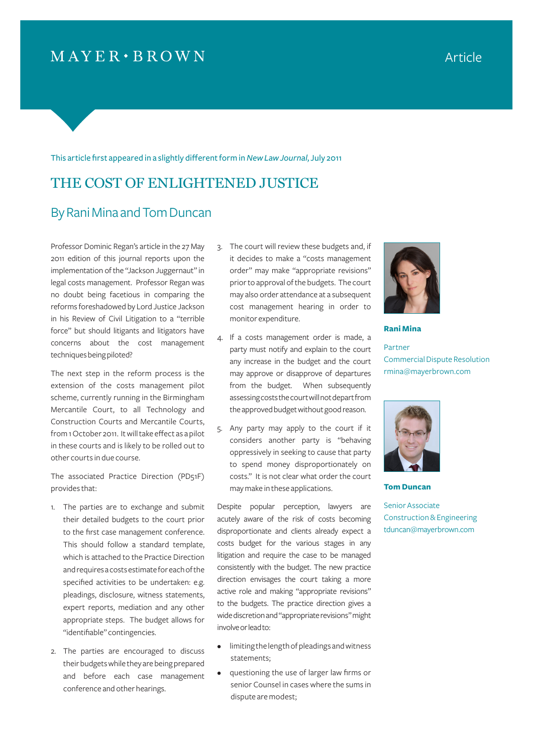# $MAYER \cdot BROWN$

#### This article first appeared in a slightly different form in *New Law Journal*, July 2011

## THE COST OF ENLIGHTENED JUSTICE

### By Rani Mina and Tom Duncan

Professor Dominic Regan's article in the 27 May 2011 edition of this journal reports upon the implementation of the "Jackson Juggernaut" in legal costs management. Professor Regan was no doubt being facetious in comparing the reforms foreshadowed by Lord Justice Jackson in his Review of Civil Litigation to a "terrible force" but should litigants and litigators have concerns about the cost management techniques being piloted?

The next step in the reform process is the extension of the costs management pilot scheme, currently running in the Birmingham Mercantile Court, to all Technology and Construction Courts and Mercantile Courts, from 1 October 2011. It will take effect as a pilot in these courts and is likely to be rolled out to other courts in due course.

The associated Practice Direction (PD51F) provides that:

- 1. The parties are to exchange and submit their detailed budgets to the court prior to the first case management conference. This should follow a standard template, which is attached to the Practice Direction and requires a costs estimate for each of the specified activities to be undertaken: e.g. pleadings, disclosure, witness statements, expert reports, mediation and any other appropriate steps. The budget allows for "identifiable" contingencies.
- 2. The parties are encouraged to discuss their budgets while they are being prepared and before each case management conference and other hearings.
- 3. The court will review these budgets and, if it decides to make a "costs management order" may make "appropriate revisions" prior to approval of the budgets. The court may also order attendance at a subsequent cost management hearing in order to monitor expenditure.
- 4. If a costs management order is made, a party must notify and explain to the court any increase in the budget and the court may approve or disapprove of departures from the budget. When subsequently assessing costs the court will not depart from the approved budget without good reason.
- 5. Any party may apply to the court if it considers another party is "behaving oppressively in seeking to cause that party to spend money disproportionately on costs." It is not clear what order the court may make in these applications.

Despite popular perception, lawyers are acutely aware of the risk of costs becoming disproportionate and clients already expect a costs budget for the various stages in any litigation and require the case to be managed consistently with the budget. The new practice direction envisages the court taking a more active role and making "appropriate revisions" to the budgets. The practice direction gives a wide discretion and "appropriate revisions" might involve or lead to:

- limiting the length of pleadings and witness statements;
- questioning the use of larger law firms or senior Counsel in cases where the sums in dispute are modest;



**Rani Mina**

Partner Commercial Dispute Resolution rmina@mayerbrown.com



**Tom Duncan** 

Senior Associate Construction & Engineering tduncan@mayerbrown.com